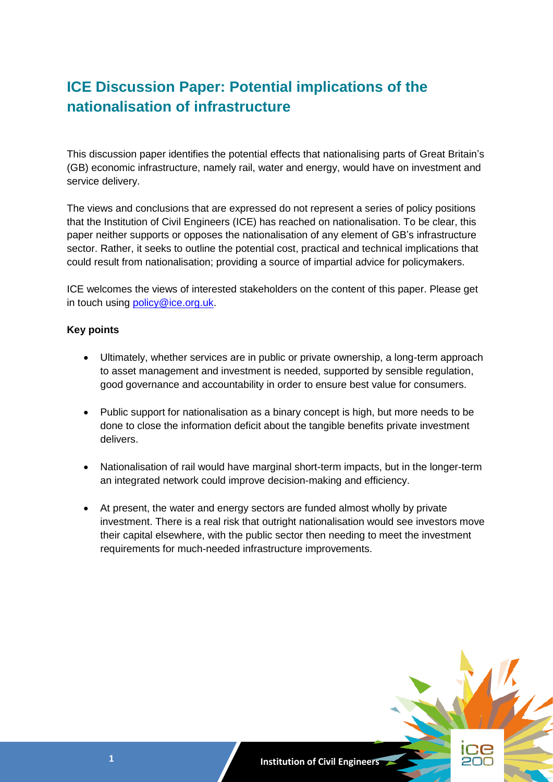# **ICE Discussion Paper: Potential implications of the nationalisation of infrastructure**

This discussion paper identifies the potential effects that nationalising parts of Great Britain's (GB) economic infrastructure, namely rail, water and energy, would have on investment and service delivery.

The views and conclusions that are expressed do not represent a series of policy positions that the Institution of Civil Engineers (ICE) has reached on nationalisation. To be clear, this paper neither supports or opposes the nationalisation of any element of GB's infrastructure sector. Rather, it seeks to outline the potential cost, practical and technical implications that could result from nationalisation; providing a source of impartial advice for policymakers.

ICE welcomes the views of interested stakeholders on the content of this paper. Please get in touch using [policy@ice.org.uk.](mailto:policy@ice.org.uk)

### **Key points**

- Ultimately, whether services are in public or private ownership, a long-term approach to asset management and investment is needed, supported by sensible regulation, good governance and accountability in order to ensure best value for consumers.
- Public support for nationalisation as a binary concept is high, but more needs to be done to close the information deficit about the tangible benefits private investment delivers.
- Nationalisation of rail would have marginal short-term impacts, but in the longer-term an integrated network could improve decision-making and efficiency.
- At present, the water and energy sectors are funded almost wholly by private investment. There is a real risk that outright nationalisation would see investors move their capital elsewhere, with the public sector then needing to meet the investment requirements for much-needed infrastructure improvements.

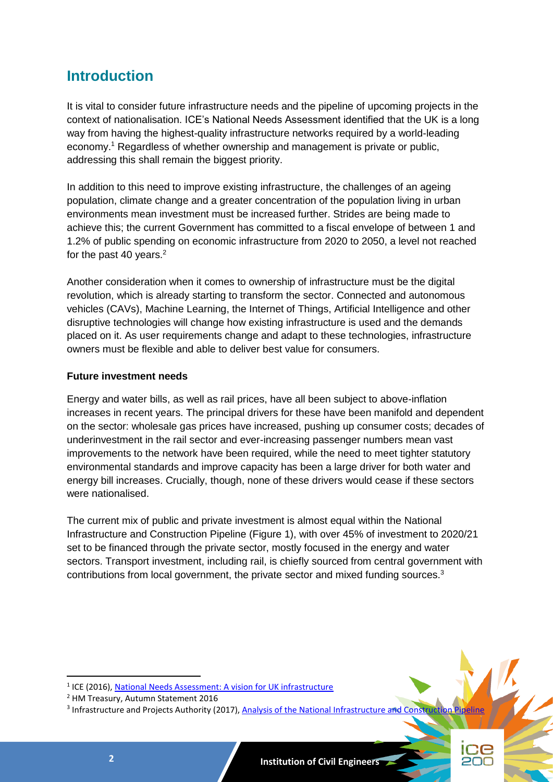# **Introduction**

It is vital to consider future infrastructure needs and the pipeline of upcoming projects in the context of nationalisation. ICE's National Needs Assessment identified that the UK is a long way from having the highest-quality infrastructure networks required by a world-leading economy.<sup>1</sup> Regardless of whether ownership and management is private or public, addressing this shall remain the biggest priority.

In addition to this need to improve existing infrastructure, the challenges of an ageing population, climate change and a greater concentration of the population living in urban environments mean investment must be increased further. Strides are being made to achieve this; the current Government has committed to a fiscal envelope of between 1 and 1.2% of public spending on economic infrastructure from 2020 to 2050, a level not reached for the past 40 years. $2$ 

Another consideration when it comes to ownership of infrastructure must be the digital revolution, which is already starting to transform the sector. Connected and autonomous vehicles (CAVs), Machine Learning, the Internet of Things, Artificial Intelligence and other disruptive technologies will change how existing infrastructure is used and the demands placed on it. As user requirements change and adapt to these technologies, infrastructure owners must be flexible and able to deliver best value for consumers.

### **Future investment needs**

Energy and water bills, as well as rail prices, have all been subject to above-inflation increases in recent years. The principal drivers for these have been manifold and dependent on the sector: wholesale gas prices have increased, pushing up consumer costs; decades of underinvestment in the rail sector and ever-increasing passenger numbers mean vast improvements to the network have been required, while the need to meet tighter statutory environmental standards and improve capacity has been a large driver for both water and energy bill increases. Crucially, though, none of these drivers would cease if these sectors were nationalised.

The current mix of public and private investment is almost equal within the National Infrastructure and Construction Pipeline (Figure 1), with over 45% of investment to 2020/21 set to be financed through the private sector, mostly focused in the energy and water sectors. Transport investment, including rail, is chiefly sourced from central government with contributions from local government, the private sector and mixed funding sources.<sup>3</sup>

<sup>&</sup>lt;sup>3</sup> Infrastructure and Projects Authority (2017)[, Analysis of the National Infrastructure and Construction Pipeline](https://assets.publishing.service.gov.uk/government/uploads/system/uploads/attachment_data/file/665332/Analysis_of_National_Infrastructure_and_Construction_Pipeline_2017.pdf)



<sup>&</sup>lt;sup>1</sup> ICE (2016)[, National Needs Assessment: A vision for UK infrastructure](https://www.ice.org.uk/getattachment/news-and-insight/policy/national-needs-assessment-a-vision-for-uk-infrastr/National-Needs-Assessment-PDF-(1).pdf.aspx#_ga=2.195887660.1406208061.1534152730-1714938937.1528710932)

<sup>2</sup> HM Treasury, Autumn Statement 2016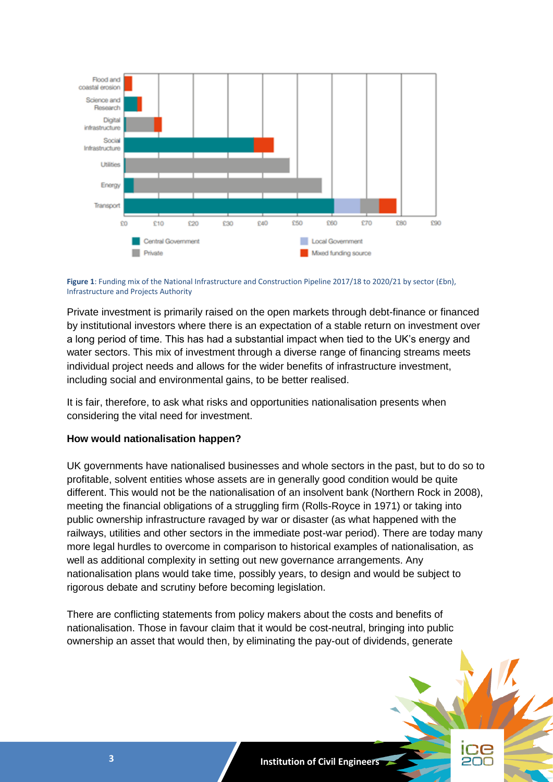

**Figure 1**: Funding mix of the National Infrastructure and Construction Pipeline 2017/18 to 2020/21 by sector (£bn), Infrastructure and Projects Authority

Private investment is primarily raised on the open markets through debt-finance or financed by institutional investors where there is an expectation of a stable return on investment over a long period of time. This has had a substantial impact when tied to the UK's energy and water sectors. This mix of investment through a diverse range of financing streams meets individual project needs and allows for the wider benefits of infrastructure investment, including social and environmental gains, to be better realised.

It is fair, therefore, to ask what risks and opportunities nationalisation presents when considering the vital need for investment.

#### **How would nationalisation happen?**

UK governments have nationalised businesses and whole sectors in the past, but to do so to profitable, solvent entities whose assets are in generally good condition would be quite different. This would not be the nationalisation of an insolvent bank (Northern Rock in 2008), meeting the financial obligations of a struggling firm (Rolls-Royce in 1971) or taking into public ownership infrastructure ravaged by war or disaster (as what happened with the railways, utilities and other sectors in the immediate post-war period). There are today many more legal hurdles to overcome in comparison to historical examples of nationalisation, as well as additional complexity in setting out new governance arrangements. Any nationalisation plans would take time, possibly years, to design and would be subject to rigorous debate and scrutiny before becoming legislation.

There are conflicting statements from policy makers about the costs and benefits of nationalisation. Those in favour claim that it would be cost-neutral, bringing into public ownership an asset that would then, by eliminating the pay-out of dividends, generate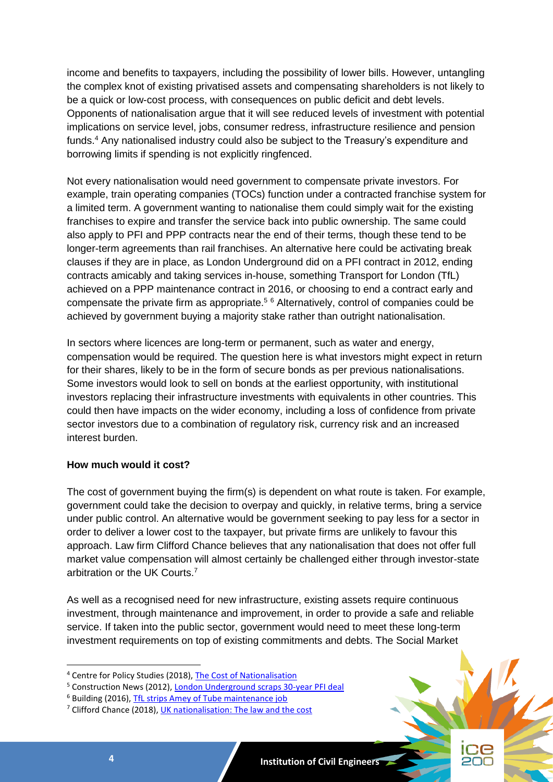income and benefits to taxpayers, including the possibility of lower bills. However, untangling the complex knot of existing privatised assets and compensating shareholders is not likely to be a quick or low-cost process, with consequences on public deficit and debt levels. Opponents of nationalisation argue that it will see reduced levels of investment with potential implications on service level, jobs, consumer redress, infrastructure resilience and pension funds. <sup>4</sup> Any nationalised industry could also be subject to the Treasury's expenditure and borrowing limits if spending is not explicitly ringfenced.

Not every nationalisation would need government to compensate private investors. For example, train operating companies (TOCs) function under a contracted franchise system for a limited term. A government wanting to nationalise them could simply wait for the existing franchises to expire and transfer the service back into public ownership. The same could also apply to PFI and PPP contracts near the end of their terms, though these tend to be longer-term agreements than rail franchises. An alternative here could be activating break clauses if they are in place, as London Underground did on a PFI contract in 2012, ending contracts amicably and taking services in-house, something Transport for London (TfL) achieved on a PPP maintenance contract in 2016, or choosing to end a contract early and compensate the private firm as appropriate.<sup>5 6</sup> Alternatively, control of companies could be achieved by government buying a majority stake rather than outright nationalisation.

In sectors where licences are long-term or permanent, such as water and energy, compensation would be required. The question here is what investors might expect in return for their shares, likely to be in the form of secure bonds as per previous nationalisations. Some investors would look to sell on bonds at the earliest opportunity, with institutional investors replacing their infrastructure investments with equivalents in other countries. This could then have impacts on the wider economy, including a loss of confidence from private sector investors due to a combination of regulatory risk, currency risk and an increased interest burden.

#### **How much would it cost?**

The cost of government buying the firm(s) is dependent on what route is taken. For example, government could take the decision to overpay and quickly, in relative terms, bring a service under public control. An alternative would be government seeking to pay less for a sector in order to deliver a lower cost to the taxpayer, but private firms are unlikely to favour this approach. Law firm Clifford Chance believes that any nationalisation that does not offer full market value compensation will almost certainly be challenged either through investor-state arbitration or the UK Courts.<sup>7</sup>

As well as a recognised need for new infrastructure, existing assets require continuous investment, through maintenance and improvement, in order to provide a safe and reliable service. If taken into the public sector, government would need to meet these long-term investment requirements on top of existing commitments and debts. The Social Market



<sup>4</sup> Centre for Policy Studies (2018), [The Cost of Nationalisation](https://www.cps.org.uk/files/reports/original/180123105636-TheCostofNationalisationMASTERPDF.pdf)

<sup>5</sup> Construction News (2012), [London Underground scraps 30-year PFI deal](https://www.constructionnews.co.uk/8634523.article)

<sup>6</sup> Building (2016)[, TfL strips Amey of Tube maintenance job](https://www.building.co.uk/news/tfl-strips-amey-of-tube-maintenance-job/5083340.article)

<sup>&</sup>lt;sup>7</sup> Clifford Chance (2018), [UK nationalisation: The law and the cost](https://www.cliffordchance.com/briefings/2018/03/uk_nationalisationthelawandthecost.html)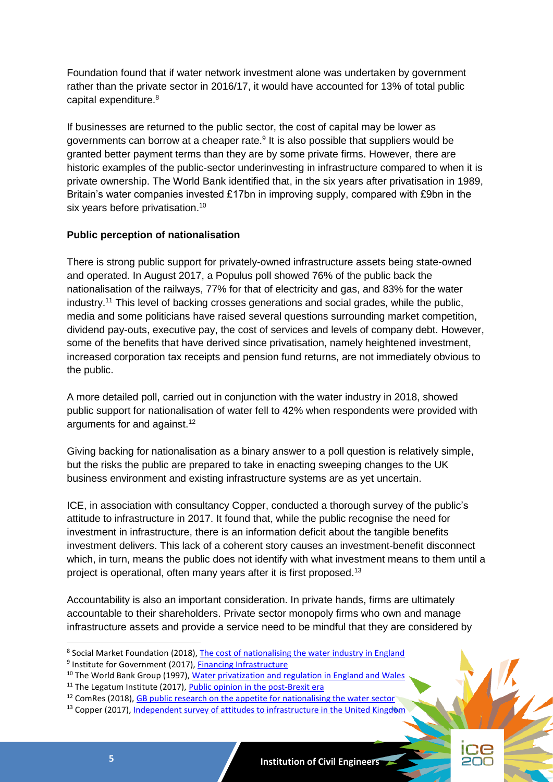Foundation found that if water network investment alone was undertaken by government rather than the private sector in 2016/17, it would have accounted for 13% of total public capital expenditure. 8

If businesses are returned to the public sector, the cost of capital may be lower as governments can borrow at a cheaper rate.<sup>9</sup> It is also possible that suppliers would be granted better payment terms than they are by some private firms. However, there are historic examples of the public-sector underinvesting in infrastructure compared to when it is private ownership. The World Bank identified that, in the six years after privatisation in 1989, Britain's water companies invested £17bn in improving supply, compared with £9bn in the six years before privatisation.<sup>10</sup>

### **Public perception of nationalisation**

There is strong public support for privately-owned infrastructure assets being state-owned and operated. In August 2017, a Populus poll showed 76% of the public back the nationalisation of the railways, 77% for that of electricity and gas, and 83% for the water industry.<sup>11</sup> This level of backing crosses generations and social grades, while the public, media and some politicians have raised several questions surrounding market competition, dividend pay-outs, executive pay, the cost of services and levels of company debt. However, some of the benefits that have derived since privatisation, namely heightened investment, increased corporation tax receipts and pension fund returns, are not immediately obvious to the public.

A more detailed poll, carried out in conjunction with the water industry in 2018, showed public support for nationalisation of water fell to 42% when respondents were provided with arguments for and against.<sup>12</sup>

Giving backing for nationalisation as a binary answer to a poll question is relatively simple, but the risks the public are prepared to take in enacting sweeping changes to the UK business environment and existing infrastructure systems are as yet uncertain.

ICE, in association with consultancy Copper, conducted a thorough survey of the public's attitude to infrastructure in 2017. It found that, while the public recognise the need for investment in infrastructure, there is an information deficit about the tangible benefits investment delivers. This lack of a coherent story causes an investment-benefit disconnect which, in turn, means the public does not identify with what investment means to them until a project is operational, often many years after it is first proposed.<sup>13</sup>

Accountability is also an important consideration. In private hands, firms are ultimately accountable to their shareholders. Private sector monopoly firms who own and manage infrastructure assets and provide a service need to be mindful that they are considered by

 $12$  ComRes (2018), [GB public research on the appetite for nationalising the water sector](http://www.comresglobal.com/polls/severn-trent-united-utilities-anglian-water-and-south-west-water-nationalisation-research/)



<sup>&</sup>lt;sup>8</sup> Social Market Foundation (2018), [The cost of nationalising the water industry in England](http://www.smf.co.uk/wp-content/uploads/2018/02/The-cost-of-nationalising-the-water-industry-in-England.pdf)

<sup>&</sup>lt;sup>9</sup> Institute for Government (2017), **Financing Infrastructure** 

<sup>&</sup>lt;sup>10</sup> The World Bank Group (1997), [Water privatization and regulation in England and Wales](http://siteresources.worldbank.org/EXTFINANCIALSECTOR/Resources/282884-1303327122200/115vdbrg.pdf)

<sup>&</sup>lt;sup>11</sup> The Legatum Institute (2017), [Public opinion in the post-Brexit era](https://lif.blob.core.windows.net/lif/docs/default-source/default-library/1710-public-opinion-in-the-post-brexit-era-final.pdf?sfvrsn=0)

<sup>&</sup>lt;sup>13</sup> Copper (2017), [Independent survey of attitudes to infrastructure in the United Kingdom](https://www.copperconsultancy.com/wp-content/uploads/2017/11/copper_survey_report_2017.pdf)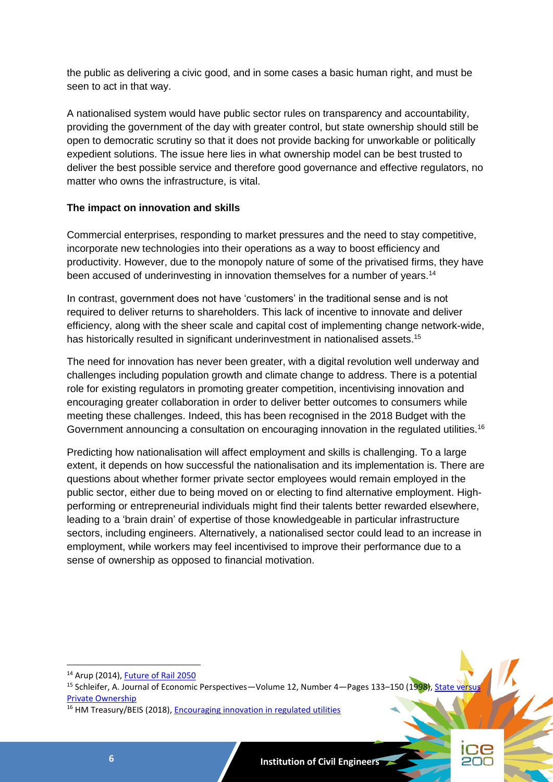the public as delivering a civic good, and in some cases a basic human right, and must be seen to act in that way.

A nationalised system would have public sector rules on transparency and accountability, providing the government of the day with greater control, but state ownership should still be open to democratic scrutiny so that it does not provide backing for unworkable or politically expedient solutions. The issue here lies in what ownership model can be best trusted to deliver the best possible service and therefore good governance and effective regulators, no matter who owns the infrastructure, is vital.

### **The impact on innovation and skills**

Commercial enterprises, responding to market pressures and the need to stay competitive, incorporate new technologies into their operations as a way to boost efficiency and productivity. However, due to the monopoly nature of some of the privatised firms, they have been accused of underinvesting in innovation themselves for a number of years.<sup>14</sup>

In contrast, government does not have 'customers' in the traditional sense and is not required to deliver returns to shareholders. This lack of incentive to innovate and deliver efficiency, along with the sheer scale and capital cost of implementing change network-wide, has historically resulted in significant underinvestment in nationalised assets.<sup>15</sup>

The need for innovation has never been greater, with a digital revolution well underway and challenges including population growth and climate change to address. There is a potential role for existing regulators in promoting greater competition, incentivising innovation and encouraging greater collaboration in order to deliver better outcomes to consumers while meeting these challenges. Indeed, this has been recognised in the 2018 Budget with the Government announcing a consultation on encouraging innovation in the regulated utilities.<sup>16</sup>

Predicting how nationalisation will affect employment and skills is challenging. To a large extent, it depends on how successful the nationalisation and its implementation is. There are questions about whether former private sector employees would remain employed in the public sector, either due to being moved on or electing to find alternative employment. Highperforming or entrepreneurial individuals might find their talents better rewarded elsewhere, leading to a 'brain drain' of expertise of those knowledgeable in particular infrastructure sectors, including engineers. Alternatively, a nationalised sector could lead to an increase in employment, while workers may feel incentivised to improve their performance due to a sense of ownership as opposed to financial motivation.

<sup>14</sup> Arup (2014), **Future of Rail 2050** 

<sup>&</sup>lt;sup>15</sup> Schleifer, A. Journal of Economic Perspectives—Volume 12, Number 4—Pages 133–150 (1998), State v [Private Ownership](https://pubs.aeaweb.org/doi/pdfplus/10.1257/jep.12.4.133)

<sup>&</sup>lt;sup>16</sup> HM Treasury/BEIS (2018), [Encouraging innovation in regulated utilities](https://www.gov.uk/government/consultations/encouraging-innovation-in-regulated-utilities)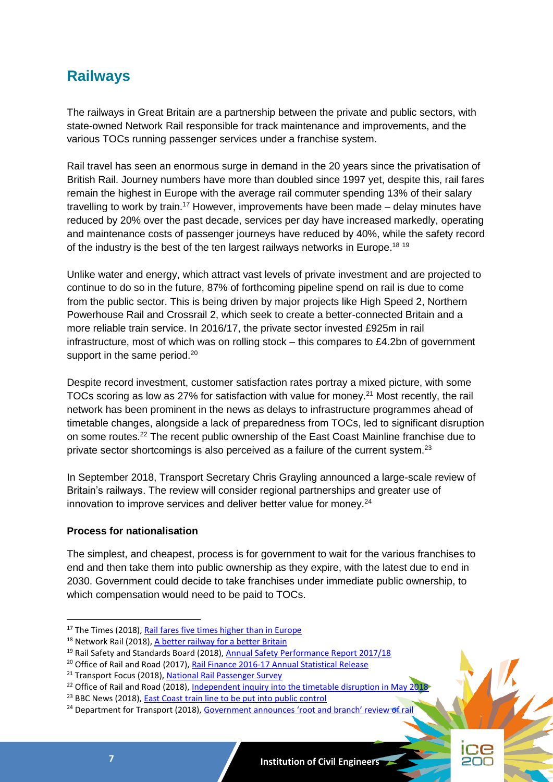# **Railways**

The railways in Great Britain are a partnership between the private and public sectors, with state-owned Network Rail responsible for track maintenance and improvements, and the various TOCs running passenger services under a franchise system.

Rail travel has seen an enormous surge in demand in the 20 years since the privatisation of British Rail. Journey numbers have more than doubled since 1997 yet, despite this, rail fares remain the highest in Europe with the average rail commuter spending 13% of their salary travelling to work by train.<sup>17</sup> However, improvements have been made – delay minutes have reduced by 20% over the past decade, services per day have increased markedly, operating and maintenance costs of passenger journeys have reduced by 40%, while the safety record of the industry is the best of the ten largest railways networks in Europe.<sup>18 19</sup>

Unlike water and energy, which attract vast levels of private investment and are projected to continue to do so in the future, 87% of forthcoming pipeline spend on rail is due to come from the public sector. This is being driven by major projects like High Speed 2, Northern Powerhouse Rail and Crossrail 2, which seek to create a better-connected Britain and a more reliable train service. In 2016/17, the private sector invested £925m in rail infrastructure, most of which was on rolling stock  $-$  this compares to £4.2bn of government support in the same period.<sup>20</sup>

Despite record investment, customer satisfaction rates portray a mixed picture, with some TOCs scoring as low as 27% for satisfaction with value for money.<sup>21</sup> Most recently, the rail network has been prominent in the news as delays to infrastructure programmes ahead of timetable changes, alongside a lack of preparedness from TOCs, led to significant disruption on some routes.<sup>22</sup> The recent public ownership of the East Coast Mainline franchise due to private sector shortcomings is also perceived as a failure of the current system.<sup>23</sup>

In September 2018, Transport Secretary Chris Grayling announced a large-scale review of Britain's railways. The review will consider regional partnerships and greater use of innovation to improve services and deliver better value for money.<sup>24</sup>

#### **Process for nationalisation**

1

The simplest, and cheapest, process is for government to wait for the various franchises to end and then take them into public ownership as they expire, with the latest due to end in 2030. Government could decide to take franchises under immediate public ownership, to which compensation would need to be paid to TOCs.

<sup>&</sup>lt;sup>17</sup> The Times (2018)[, Rail fares five times higher than in Europe](https://www.thetimes.co.uk/article/rail-fares-five-times-higher-than-in-europe-szrsf6f52)

<sup>&</sup>lt;sup>18</sup> Network Rail (2018)[, A better railway for a better Britain](https://cdn.networkrail.co.uk/wp-content/uploads/2018/02/Strategic-business-plan-high-level-summary.pdf)

<sup>&</sup>lt;sup>19</sup> Rail Safety and Standards Board (2018), [Annual Safety Performance Report 2017/18](https://www.rssb.co.uk/Library/risk-analysis-and-safety-reporting/annual-safety-performance-report-2017-18.pdf)

<sup>&</sup>lt;sup>20</sup> Office of Rail and Road (2017)[, Rail Finance 2016-17 Annual Statistical Release](http://orr.gov.uk/__data/assets/pdf_file/0008/25757/rail-finance-statistical-release-2016-17.pdf)

<sup>&</sup>lt;sup>21</sup> Transport Focus (2018), [National Rail Passenger Survey](http://d3cez36w5wymxj.cloudfront.net/wp-content/uploads/2018/06/19091348/NRPS-spring-2018-Main-Report-June-2018.pdf)

<sup>&</sup>lt;sup>22</sup> Office of Rail and Road (2018)[, Independent inquiry into the timetable disruption in May 2018](http://orr.gov.uk/__data/assets/pdf_file/0018/39042/inquiry-into-may-2018-timetable-disruption-september-2018-findings.pdf)

<sup>&</sup>lt;sup>23</sup> BBC News (2018), [East Coast train line to be put into](https://www.bbc.co.uk/news/business-44142258) public control

<sup>&</sup>lt;sup>24</sup> Department for Transport (2018), [Government announces 'root and branch' review of rail](https://www.gov.uk/government/news/government-announces-root-and-branch-review-of-rail)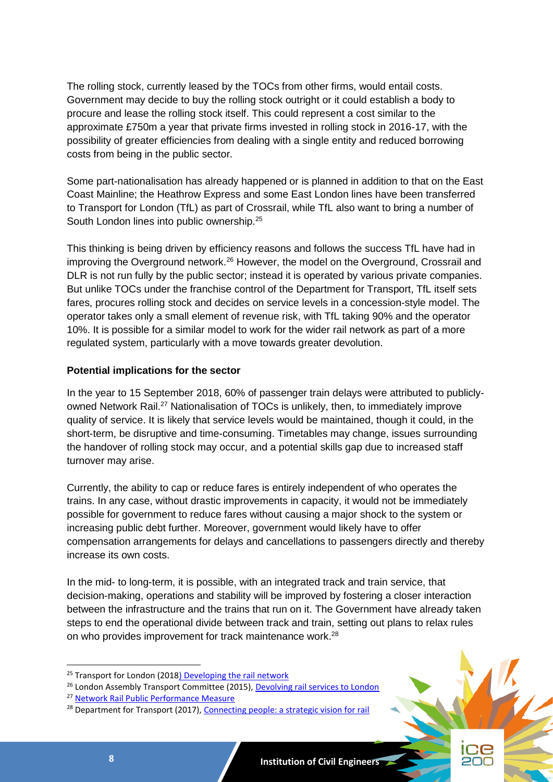The rolling stock, currently leased by the TOCs from other firms, would entail costs. Government may decide to buy the rolling stock outright or it could establish a body to procure and lease the rolling stock itself. This could represent a cost similar to the approximate £750m a year that private firms invested in rolling stock in 2016-17, with the possibility of greater efficiencies from dealing with a single entity and reduced borrowing costs from being in the public sector.

Some part-nationalisation has already happened or is planned in addition to that on the East Coast Mainline; the Heathrow Express and some East London lines have been transferred to Transport for London (TfL) as part of Crossrail, while TfL also want to bring a number of South London lines into public ownership.<sup>25</sup>

This thinking is being driven by efficiency reasons and follows the success TfL have had in improving the Overground network.<sup>26</sup> However, the model on the Overground, Crossrail and DLR is not run fully by the public sector; instead it is operated by various private companies. But unlike TOCs under the franchise control of the Department for Transport, TfL itself sets fares, procures rolling stock and decides on service levels in a concession-style model. The operator takes only a small element of revenue risk, with TfL taking 90% and the operator 10%. It is possible for a similar model to work for the wider rail network as part of a more regulated system, particularly with a move towards greater devolution.

#### **Potential implications for the sector**

In the year to 15 September 2018, 60% of passenger train delays were attributed to publiclyowned Network Rail.<sup>27</sup> Nationalisation of TOCs is unlikely, then, to immediately improve quality of service. It is likely that service levels would be maintained, though it could, in the short-term, be disruptive and time-consuming. Timetables may change, issues surrounding the handover of rolling stock may occur, and a potential skills gap due to increased staff turnover may arise.

Currently, the ability to cap or reduce fares is entirely independent of who operates the trains. In any case, without drastic improvements in capacity, it would not be immediately possible for government to reduce fares without causing a major shock to the system or increasing public debt further. Moreover, government would likely have to offer compensation arrangements for delays and cancellations to passengers directly and thereby increase its own costs.

In the mid- to long-term, it is possible, with an integrated track and train service, that decision-making, operations and stability will be improved by fostering a closer interaction between the infrastructure and the trains that run on it. The Government have already taken steps to end the operational divide between track and train, setting out plans to relax rules on who provides improvement for track maintenance work.<sup>28</sup>

<sup>&</sup>lt;sup>28</sup> Department for Transport (2017), [Connecting people: a strategic vision for rail](https://assets.publishing.service.gov.uk/government/uploads/system/uploads/attachment_data/file/663124/rail-vision-web.pdf)



<sup>&</sup>lt;sup>25</sup> Transport for London (201[8\) Developing the rail network](https://tfl.gov.uk/corporate/about-tfl/how-we-work/planning-for-the-future/developing-the-rail-network)

<sup>&</sup>lt;sup>26</sup> London Assembly Transport Committee (2015), [Devolving rail services to London](https://www.london.gov.uk/sites/default/files/devolving_rail_services_to_london-final-report.pdf)

<sup>27</sup> [Network Rail Public Performance Measure](https://www.networkrail.co.uk/who-we-are/how-we-work/performance/public-performance-measure/)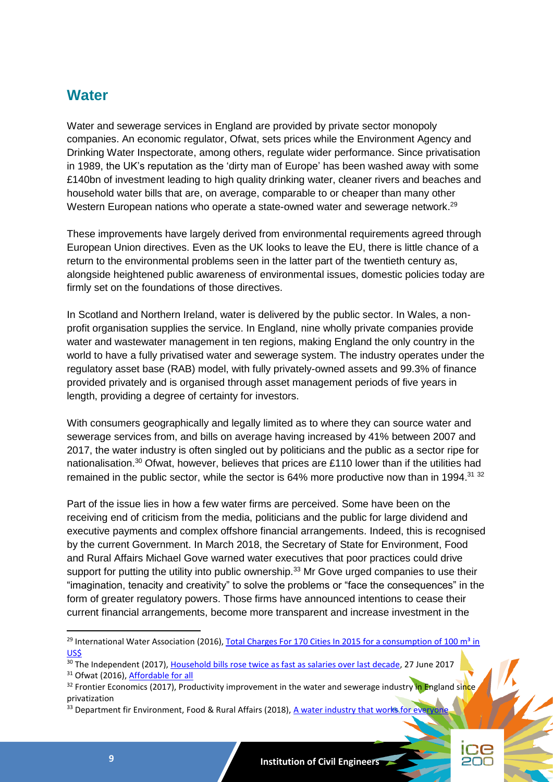# **Water**

Water and sewerage services in England are provided by private sector monopoly companies. An economic regulator, Ofwat, sets prices while the Environment Agency and Drinking Water Inspectorate, among others, regulate wider performance. Since privatisation in 1989, the UK's reputation as the 'dirty man of Europe' has been washed away with some £140bn of investment leading to high quality drinking water, cleaner rivers and beaches and household water bills that are, on average, comparable to or cheaper than many other Western European nations who operate a state-owned water and sewerage network.<sup>29</sup>

These improvements have largely derived from environmental requirements agreed through European Union directives. Even as the UK looks to leave the EU, there is little chance of a return to the environmental problems seen in the latter part of the twentieth century as, alongside heightened public awareness of environmental issues, domestic policies today are firmly set on the foundations of those directives.

In Scotland and Northern Ireland, water is delivered by the public sector. In Wales, a nonprofit organisation supplies the service. In England, nine wholly private companies provide water and wastewater management in ten regions, making England the only country in the world to have a fully privatised water and sewerage system. The industry operates under the regulatory asset base (RAB) model, with fully privately-owned assets and 99.3% of finance provided privately and is organised through asset management periods of five years in length, providing a degree of certainty for investors.

With consumers geographically and legally limited as to where they can source water and sewerage services from, and bills on average having increased by 41% between 2007 and 2017, the water industry is often singled out by politicians and the public as a sector ripe for nationalisation.<sup>30</sup> Ofwat, however, believes that prices are £110 lower than if the utilities had remained in the public sector, while the sector is  $64\%$  more productive now than in 1994.<sup>31 32</sup>

Part of the issue lies in how a few water firms are perceived. Some have been on the receiving end of criticism from the media, politicians and the public for large dividend and executive payments and complex offshore financial arrangements. Indeed, this is recognised by the current Government. In March 2018, the Secretary of State for Environment, Food and Rural Affairs Michael Gove warned water executives that poor practices could drive support for putting the utility into public ownership.<sup>33</sup> Mr Gove urged companies to use their "imagination, tenacity and creativity" to solve the problems or "face the consequences" in the form of greater regulatory powers. Those firms have announced intentions to cease their current financial arrangements, become more transparent and increase investment in the

<sup>&</sup>lt;sup>33</sup> Department fir Environment, Food & Rural Affairs (2018), [A water industry that works for everyone](https://www.gov.uk/government/speeches/a-water-industry-that-works-for-everyone)



<sup>&</sup>lt;sup>29</sup> International Water Association (2016), Total Charges For 170 Cities In 2015 for a consumption of 100 m<sup>3</sup> in [US\\$](http://waterstatistics.iwa-network.org/graph/17)

<sup>&</sup>lt;sup>30</sup> The Independent (2017), [Household bills rose twice as fast as salaries over last decade,](https://www.independent.co.uk/news/business/news/household-bills-rose-twice-as-fast-as-salaries-over-last-decade-a7810971.html) 27 June 2017

<sup>&</sup>lt;sup>31</sup> Ofwat (2016), [Affordable for all](https://www.ofwat.gov.uk/wp-content/uploads/2016/01/prs_inf_afford.pdf)

<sup>&</sup>lt;sup>32</sup> Frontier Economics (2017), Productivity improvement in the water and sewerage industry in England since privatization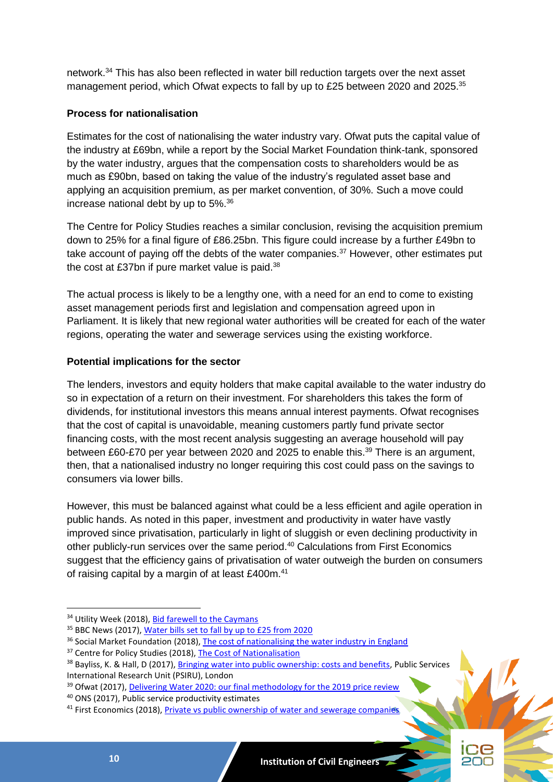network.<sup>34</sup> This has also been reflected in water bill reduction targets over the next asset management period, which Ofwat expects to fall by up to £25 between 2020 and 2025.<sup>35</sup>

# **Process for nationalisation**

Estimates for the cost of nationalising the water industry vary. Ofwat puts the capital value of the industry at £69bn, while a report by the Social Market Foundation think-tank, sponsored by the water industry, argues that the compensation costs to shareholders would be as much as £90bn, based on taking the value of the industry's regulated asset base and applying an acquisition premium, as per market convention, of 30%. Such a move could increase national debt by up to 5%.<sup>36</sup>

The Centre for Policy Studies reaches a similar conclusion, revising the acquisition premium down to 25% for a final figure of £86.25bn. This figure could increase by a further £49bn to take account of paying off the debts of the water companies.<sup>37</sup> However, other estimates put the cost at £37bn if pure market value is paid.<sup>38</sup>

The actual process is likely to be a lengthy one, with a need for an end to come to existing asset management periods first and legislation and compensation agreed upon in Parliament. It is likely that new regional water authorities will be created for each of the water regions, operating the water and sewerage services using the existing workforce.

# **Potential implications for the sector**

The lenders, investors and equity holders that make capital available to the water industry do so in expectation of a return on their investment. For shareholders this takes the form of dividends, for institutional investors this means annual interest payments. Ofwat recognises that the cost of capital is unavoidable, meaning customers partly fund private sector financing costs, with the most recent analysis suggesting an average household will pay between £60-£70 per year between 2020 and 2025 to enable this.<sup>39</sup> There is an argument, then, that a nationalised industry no longer requiring this cost could pass on the savings to consumers via lower bills.

However, this must be balanced against what could be a less efficient and agile operation in public hands. As noted in this paper, investment and productivity in water have vastly improved since privatisation, particularly in light of sluggish or even declining productivity in other publicly-run services over the same period.<sup>40</sup> Calculations from First Economics suggest that the efficiency gains of privatisation of water outweigh the burden on consumers of raising capital by a margin of at least £400m.<sup>41</sup>



<sup>&</sup>lt;sup>34</sup> Utility Week (2018), [Bid farewell to the Caymans](https://utilityweek.co.uk/bid-farewell-caymans/)

<sup>35</sup> BBC News (2017), [Water bills set to fall by up to £25 from 2020](https://www.bbc.co.uk/news/business-42336197)

<sup>&</sup>lt;sup>36</sup> Social Market Foundation (2018)[, The cost of nationalising the water industry in England](http://www.smf.co.uk/wp-content/uploads/2018/02/The-cost-of-nationalising-the-water-industry-in-England.pdf)

<sup>&</sup>lt;sup>37</sup> Centre for Policy Studies (2018)[, The Cost of Nationalisation](https://www.cps.org.uk/files/reports/original/180123105636-TheCostofNationalisationMASTERPDF.pdf)

<sup>&</sup>lt;sup>38</sup> Bayliss, K. & Hall, D (2017)[, Bringing water into public ownership: costs and benefits,](https://gala.gre.ac.uk/17277/10/17277%20HALL_Bringing_Water_into_Public_Ownership_%28Rev%27d%29_2017.pdf) Public Services International Research Unit (PSIRU), London

<sup>&</sup>lt;sup>39</sup> Ofwat (2017), [Delivering Water 2020: our final methodology for the 2019 price review](https://www.ofwat.gov.uk/wp-content/uploads/2017/12/Final-methodology-1.pdf)

<sup>40</sup> ONS (2017), Public service productivity estimates

<sup>&</sup>lt;sup>41</sup> First Economics (2018), [Private vs public ownership of water and sewerage companies](http://www.first-economics.com/privatepublicwater.pdf)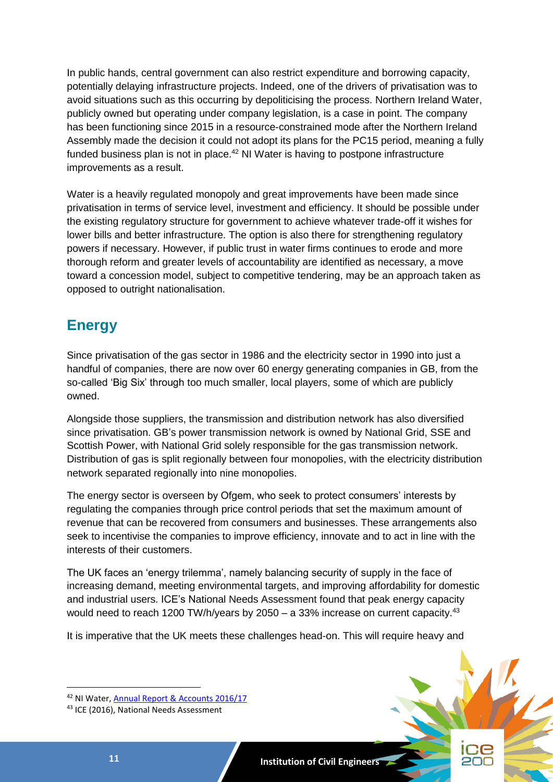In public hands, central government can also restrict expenditure and borrowing capacity, potentially delaying infrastructure projects. Indeed, one of the drivers of privatisation was to avoid situations such as this occurring by depoliticising the process. Northern Ireland Water, publicly owned but operating under company legislation, is a case in point. The company has been functioning since 2015 in a resource-constrained mode after the Northern Ireland Assembly made the decision it could not adopt its plans for the PC15 period, meaning a fully funded business plan is not in place.<sup>42</sup> NI Water is having to postpone infrastructure improvements as a result.

Water is a heavily regulated monopoly and great improvements have been made since privatisation in terms of service level, investment and efficiency. It should be possible under the existing regulatory structure for government to achieve whatever trade-off it wishes for lower bills and better infrastructure. The option is also there for strengthening regulatory powers if necessary. However, if public trust in water firms continues to erode and more thorough reform and greater levels of accountability are identified as necessary, a move toward a concession model, subject to competitive tendering, may be an approach taken as opposed to outright nationalisation.

# **Energy**

Since privatisation of the gas sector in 1986 and the electricity sector in 1990 into just a handful of companies, there are now over 60 energy generating companies in GB, from the so-called 'Big Six' through too much smaller, local players, some of which are publicly owned.

Alongside those suppliers, the transmission and distribution network has also diversified since privatisation. GB's power transmission network is owned by National Grid, SSE and Scottish Power, with National Grid solely responsible for the gas transmission network. Distribution of gas is split regionally between four monopolies, with the electricity distribution network separated regionally into nine monopolies.

The energy sector is overseen by Ofgem, who seek to protect consumers' interests by regulating the companies through price control periods that set the maximum amount of revenue that can be recovered from consumers and businesses. These arrangements also seek to incentivise the companies to improve efficiency, innovate and to act in line with the interests of their customers.

The UK faces an 'energy trilemma', namely balancing security of supply in the face of increasing demand, meeting environmental targets, and improving affordability for domestic and industrial users. ICE's National Needs Assessment found that peak energy capacity would need to reach 1200 TW/h/years by 2050 – a 33% increase on current capacity.<sup>43</sup>

It is imperative that the UK meets these challenges head-on. This will require heavy and



<sup>42</sup> NI Water, [Annual Report & Accounts 2016/17](https://www.niwater.com/sitefiles/resources/pdf/annualreport/annualreportaccounts2016.17.pdf)

<sup>43</sup> ICE (2016), National Needs Assessment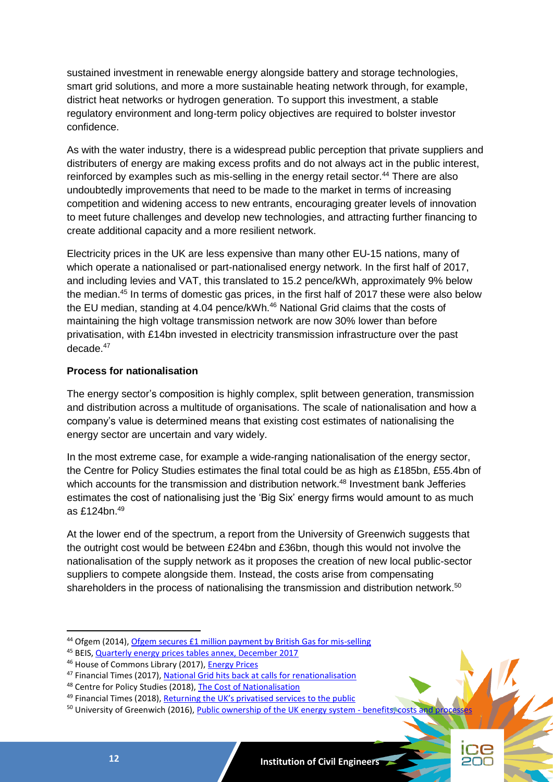sustained investment in renewable energy alongside battery and storage technologies, smart grid solutions, and more a more sustainable heating network through, for example, district heat networks or hydrogen generation. To support this investment, a stable regulatory environment and long-term policy objectives are required to bolster investor confidence.

As with the water industry, there is a widespread public perception that private suppliers and distributers of energy are making excess profits and do not always act in the public interest, reinforced by examples such as mis-selling in the energy retail sector.<sup>44</sup> There are also undoubtedly improvements that need to be made to the market in terms of increasing competition and widening access to new entrants, encouraging greater levels of innovation to meet future challenges and develop new technologies, and attracting further financing to create additional capacity and a more resilient network.

Electricity prices in the UK are less expensive than many other EU-15 nations, many of which operate a nationalised or part-nationalised energy network. In the first half of 2017, and including levies and VAT, this translated to 15.2 pence/kWh, approximately 9% below the median. <sup>45</sup> In terms of domestic gas prices, in the first half of 2017 these were also below the EU median, standing at 4.04 pence/kWh.<sup>46</sup> National Grid claims that the costs of maintaining the high voltage transmission network are now 30% lower than before privatisation, with £14bn invested in electricity transmission infrastructure over the past decade.<sup>47</sup>

#### **Process for nationalisation**

The energy sector's composition is highly complex, split between generation, transmission and distribution across a multitude of organisations. The scale of nationalisation and how a company's value is determined means that existing cost estimates of nationalising the energy sector are uncertain and vary widely.

In the most extreme case, for example a wide-ranging nationalisation of the energy sector, the Centre for Policy Studies estimates the final total could be as high as £185bn, £55.4bn of which accounts for the transmission and distribution network.<sup>48</sup> Investment bank Jefferies estimates the cost of nationalising just the 'Big Six' energy firms would amount to as much as £124bn.<sup>49</sup>

At the lower end of the spectrum, a report from the University of Greenwich suggests that the outright cost would be between £24bn and £36bn, though this would not involve the nationalisation of the supply network as it proposes the creation of new local public-sector suppliers to compete alongside them. Instead, the costs arise from compensating shareholders in the process of nationalising the transmission and distribution network.<sup>50</sup>

<sup>45</sup> BEIS, [Quarterly energy prices tables annex, December 2017](https://assets.publishing.service.gov.uk/government/uploads/system/uploads/attachment_data/file/669970/Tables.pdf)

<sup>&</sup>lt;sup>50</sup> University of Greenwich (2016), **Public ownership of the UK energy system - benefits, costs and processes** 



<sup>&</sup>lt;sup>44</sup> Ofgem (2014)[, Ofgem secures £1 million payment by British Gas for mis-selling](https://www.ofgem.gov.uk/publications-and-updates/ofgem-secures-%C2%A31-million-payment-british-gas-mis-selling)

<sup>46</sup> House of Commons Library (2017), [Energy Prices](http://researchbriefings.files.parliament.uk/documents/SN04153/SN04153.pdf)

<sup>47</sup> Financial Times (2017), [National Grid hits back at calls for renationalisation](https://www.ft.com/content/c7bd90f2-7911-3f29-bba2-0b5e291e7584)

<sup>48</sup> Centre for Policy Studies (2018)[, The Cost of Nationalisation](https://www.cps.org.uk/files/reports/original/180123105636-TheCostofNationalisationMASTERPDF.pdf)

<sup>49</sup> Financial Times (2018), [Returning the UK's privatised services to the public](https://www.ft.com/content/90c0f8e8-17fd-11e8-9e9c-25c814761640)